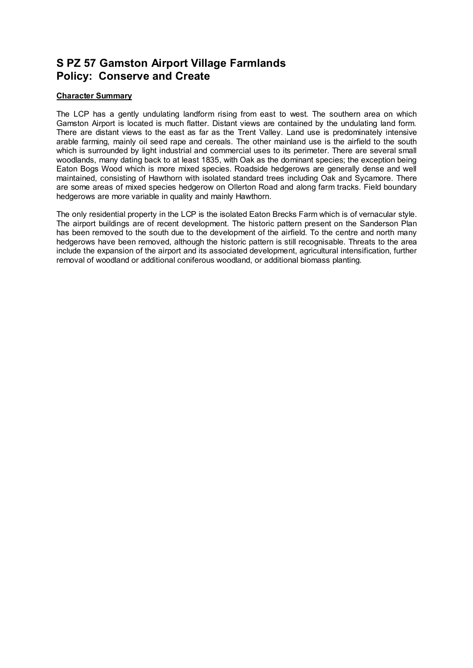## **S PZ 57 Gamston Airport Village Farmlands Policy: Conserve and Create**

## **Character Summary**

The LCP has a gently undulating landform rising from east to west. The southern area on which Gamston Airport is located is much flatter. Distant views are contained by the undulating land form. There are distant views to the east as far as the Trent Valley. Land use is predominately intensive arable farming, mainly oil seed rape and cereals. The other mainland use is the airfield to the south which is surrounded by light industrial and commercial uses to its perimeter. There are several small woodlands, many dating back to at least 1835, with Oak as the dominant species; the exception being Eaton Bogs Wood which is more mixed species. Roadside hedgerows are generally dense and well maintained, consisting of Hawthorn with isolated standard trees including Oak and Sycamore. There are some areas of mixed species hedgerow on Ollerton Road and along farm tracks. Field boundary hedgerows are more variable in quality and mainly Hawthorn.

The only residential property in the LCP is the isolated Eaton Brecks Farm which is of vernacular style. The airport buildings are of recent development. The historic pattern present on the Sanderson Plan has been removed to the south due to the development of the airfield. To the centre and north many hedgerows have been removed, although the historic pattern is still recognisable. Threats to the area include the expansion of the airport and its associated development, agricultural intensification, further removal of woodland or additional coniferous woodland, or additional biomass planting.